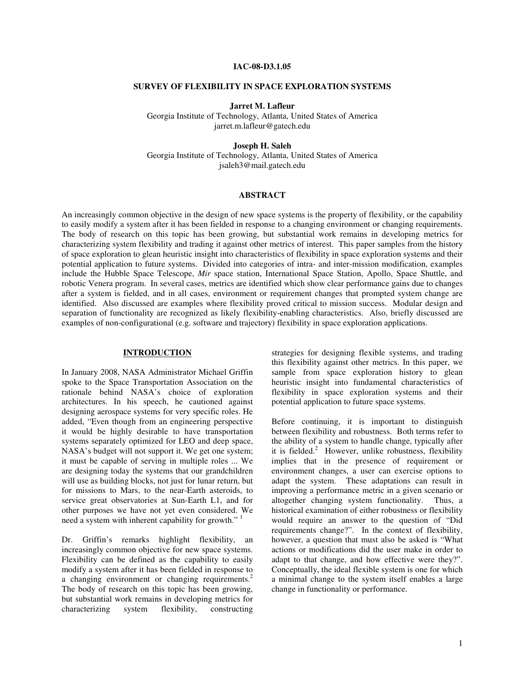### **IAC-08-D3.1.05**

#### **SURVEY OF FLEXIBILITY IN SPACE EXPLORATION SYSTEMS**

**Jarret M. Lafleur**

Georgia Institute of Technology, Atlanta, United States of America jarret.m.lafleur@gatech.edu

**Joseph H. Saleh**

Georgia Institute of Technology, Atlanta, United States of America jsaleh3@mail.gatech.edu

#### **ABSTRACT**

An increasingly common objective in the design of new space systems is the property of flexibility, or the capability to easily modify a system after it has been fielded in response to a changing environment or changing requirements. The body of research on this topic has been growing, but substantial work remains in developing metrics for characterizing system flexibility and trading it against other metrics of interest. This paper samples from the history of space exploration to glean heuristic insight into characteristics of flexibility in space exploration systems and their potential application to future systems. Divided into categories of intra- and inter-mission modification, examples include the Hubble Space Telescope, *Mir* space station, International Space Station, Apollo, Space Shuttle, and robotic Venera program. In several cases, metrics are identified which show clear performance gains due to changes after a system is fielded, and in all cases, environment or requirement changes that prompted system change are identified. Also discussed are examples where flexibility proved critical to mission success. Modular design and separation of functionality are recognized as likely flexibility-enabling characteristics. Also, briefly discussed are examples of non-configurational (e.g. software and trajectory) flexibility in space exploration applications.

### **INTRODUCTION**

In January 2008, NASA Administrator Michael Griffin spoke to the Space Transportation Association on the rationale behind NASA's choice of exploration architectures. In his speech, he cautioned against designing aerospace systems for very specific roles. He added, "Even though from an engineering perspective it would be highly desirable to have transportation systems separately optimized for LEO and deep space, NASA's budget will not support it. We get one system; it must be capable of serving in multiple roles ... We are designing today the systems that our grandchildren will use as building blocks, not just for lunar return, but for missions to Mars, to the near-Earth asteroids, to service great observatories at Sun-Earth L1, and for other purposes we have not yet even considered. We need a system with inherent capability for growth."<sup>1</sup>

Dr. Griffin's remarks highlight flexibility, an increasingly common objective for new space systems. Flexibility can be defined as the capability to easily modify a system after it has been fielded in response to a changing environment or changing requirements.<sup>2</sup> The body of research on this topic has been growing, but substantial work remains in developing metrics for characterizing system flexibility, constructing strategies for designing flexible systems, and trading this flexibility against other metrics. In this paper, we sample from space exploration history to glean heuristic insight into fundamental characteristics of flexibility in space exploration systems and their potential application to future space systems.

Before continuing, it is important to distinguish between flexibility and robustness. Both terms refer to the ability of a system to handle change, typically after it is fielded. $\alpha^2$  However, unlike robustness, flexibility implies that in the presence of requirement or environment changes, a user can exercise options to adapt the system. These adaptations can result in improving a performance metric in a given scenario or altogether changing system functionality. Thus, a historical examination of either robustness or flexibility would require an answer to the question of "Did requirements change?". In the context of flexibility, however, a question that must also be asked is "What actions or modifications did the user make in order to adapt to that change, and how effective were they?". Conceptually, the ideal flexible system is one for which a minimal change to the system itself enables a large change in functionality or performance.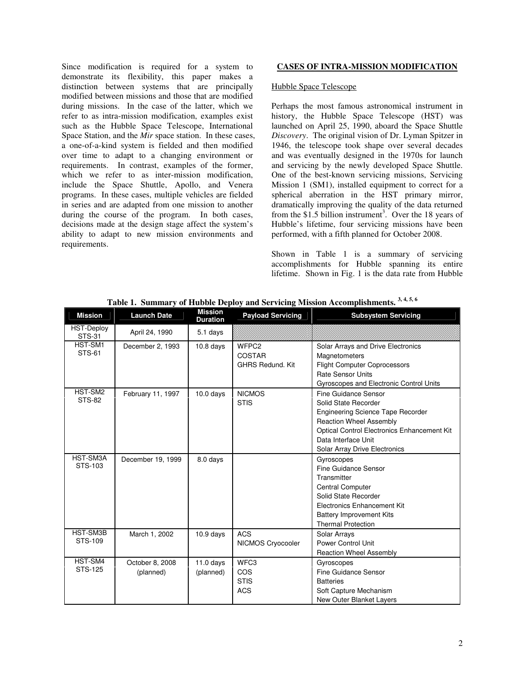Since modification is required for a system to demonstrate its flexibility, this paper makes a distinction between systems that are principally modified between missions and those that are modified during missions. In the case of the latter, which we refer to as intra-mission modification, examples exist such as the Hubble Space Telescope, International Space Station, and the *Mir* space station. In these cases, a one-of-a-kind system is fielded and then modified over time to adapt to a changing environment or requirements. In contrast, examples of the former, which we refer to as inter-mission modification, include the Space Shuttle, Apollo, and Venera programs. In these cases, multiple vehicles are fielded in series and are adapted from one mission to another during the course of the program. In both cases, decisions made at the design stage affect the system's ability to adapt to new mission environments and requirements.

# **CASES OF INTRA-MISSION MODIFICATION**

#### Hubble Space Telescope

Perhaps the most famous astronomical instrument in history, the Hubble Space Telescope (HST) was launched on April 25, 1990, aboard the Space Shuttle *Discovery*. The original vision of Dr. Lyman Spitzer in 1946, the telescope took shape over several decades and was eventually designed in the 1970s for launch and servicing by the newly developed Space Shuttle. One of the best-known servicing missions, Servicing Mission 1 (SM1), installed equipment to correct for a spherical aberration in the HST primary mirror, dramatically improving the quality of the data returned from the  $$1.5$  billion instrument<sup>3</sup>. Over the 18 years of Hubble's lifetime, four servicing missions have been performed, with a fifth planned for October 2008.

Shown in Table 1 is a summary of servicing accomplishments for Hubble spanning its entire lifetime. Shown in Fig. 1 is the data rate from Hubble

| <b>Mission</b>                     | <b>Launch Date</b> | Mission<br><b>Duration</b> | <b>Payload Servicing</b> | <b>Subsystem Servicing</b>                  |
|------------------------------------|--------------------|----------------------------|--------------------------|---------------------------------------------|
| <b>HST-Deploy</b><br><b>STS-31</b> | April 24, 1990     | 5.1 days                   |                          |                                             |
| HST-SM1                            | December 2, 1993   | $10.8$ days                | WFPC <sub>2</sub>        | Solar Arrays and Drive Electronics          |
| <b>STS-61</b>                      |                    |                            | <b>COSTAR</b>            | Magnetometers                               |
|                                    |                    |                            | <b>GHRS Redund, Kit</b>  | <b>Flight Computer Coprocessors</b>         |
|                                    |                    |                            |                          | <b>Rate Sensor Units</b>                    |
|                                    |                    |                            |                          | Gyroscopes and Electronic Control Units     |
| HST-SM2                            | February 11, 1997  | $10.0$ days                | <b>NICMOS</b>            | <b>Fine Guidance Sensor</b>                 |
| <b>STS-82</b>                      |                    |                            | <b>STIS</b>              | Solid State Recorder                        |
|                                    |                    |                            |                          | <b>Engineering Science Tape Recorder</b>    |
|                                    |                    |                            |                          | <b>Reaction Wheel Assembly</b>              |
|                                    |                    |                            |                          | Optical Control Electronics Enhancement Kit |
|                                    |                    |                            |                          | Data Interface Unit                         |
|                                    |                    |                            |                          | Solar Array Drive Electronics               |
| HST-SM3A                           | December 19, 1999  | 8.0 days                   |                          | Gyroscopes                                  |
| STS-103                            |                    |                            |                          | Fine Guidance Sensor                        |
|                                    |                    |                            |                          | Transmitter                                 |
|                                    |                    |                            |                          | <b>Central Computer</b>                     |
|                                    |                    |                            |                          | Solid State Recorder                        |
|                                    |                    |                            |                          | Electronics Enhancement Kit                 |
|                                    |                    |                            |                          | <b>Battery Improvement Kits</b>             |
|                                    |                    |                            |                          | <b>Thermal Protection</b>                   |
| HST-SM3B<br>STS-109                | March 1, 2002      | $10.9$ days                | <b>ACS</b>               | Solar Arrays                                |
|                                    |                    |                            | NICMOS Cryocooler        | <b>Power Control Unit</b>                   |
|                                    |                    |                            |                          | <b>Reaction Wheel Assembly</b>              |
| HST-SM4                            | October 8, 2008    | $11.0$ days                | WFC <sub>3</sub>         | Gyroscopes                                  |
| STS-125                            | (planned)          | (planned)                  | COS                      | <b>Fine Guidance Sensor</b>                 |
|                                    |                    |                            | <b>STIS</b>              | <b>Batteries</b>                            |
|                                    |                    |                            | <b>ACS</b>               | Soft Capture Mechanism                      |
|                                    |                    |                            |                          | New Outer Blanket Layers                    |

**Table 1. Summary of Hubble Deploy and Servicing Mission Accomplishments. 3, 4, 5, 6**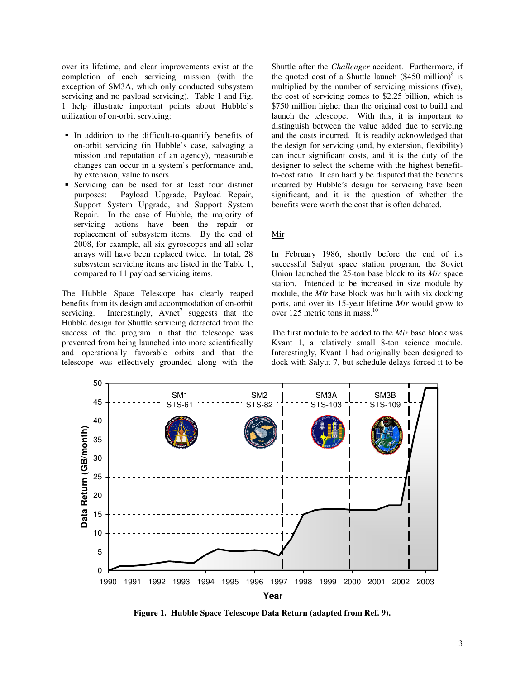over its lifetime, and clear improvements exist at the completion of each servicing mission (with the exception of SM3A, which only conducted subsystem servicing and no payload servicing). Table 1 and Fig. 1 help illustrate important points about Hubble's utilization of on-orbit servicing:

- In addition to the difficult-to-quantify benefits of on-orbit servicing (in Hubble's case, salvaging a mission and reputation of an agency), measurable changes can occur in a system's performance and, by extension, value to users.
- Servicing can be used for at least four distinct purposes: Payload Upgrade, Payload Repair, Support System Upgrade, and Support System Repair. In the case of Hubble, the majority of servicing actions have been the repair or replacement of subsystem items. By the end of 2008, for example, all six gyroscopes and all solar arrays will have been replaced twice. In total, 28 subsystem servicing items are listed in the Table 1, compared to 11 payload servicing items.

The Hubble Space Telescope has clearly reaped benefits from its design and accommodation of on-orbit servicing. Interestingly, Avnet<sup>7</sup> suggests that the Hubble design for Shuttle servicing detracted from the success of the program in that the telescope was prevented from being launched into more scientifically and operationally favorable orbits and that the telescope was effectively grounded along with the Shuttle after the *Challenger* accident. Furthermore, if the quoted cost of a Shuttle launch  $(\$450$  million)<sup>8</sup> is multiplied by the number of servicing missions (five), the cost of servicing comes to \$2.25 billion, which is \$750 million higher than the original cost to build and launch the telescope. With this, it is important to distinguish between the value added due to servicing and the costs incurred. It is readily acknowledged that the design for servicing (and, by extension, flexibility) can incur significant costs, and it is the duty of the designer to select the scheme with the highest benefitto-cost ratio. It can hardly be disputed that the benefits incurred by Hubble's design for servicing have been significant, and it is the question of whether the benefits were worth the cost that is often debated.

#### Mir

In February 1986, shortly before the end of its successful Salyut space station program, the Soviet Union launched the 25-ton base block to its *Mir* space station. Intended to be increased in size module by module, the *Mir* base block was built with six docking ports, and over its 15-year lifetime *Mir* would grow to over 125 metric tons in mass.<sup>10</sup>

The first module to be added to the *Mir* base block was Kvant 1, a relatively small 8-ton science module. Interestingly, Kvant 1 had originally been designed to dock with Salyut 7, but schedule delays forced it to be



**Figure 1. Hubble Space Telescope Data Return (adapted from Ref. 9).**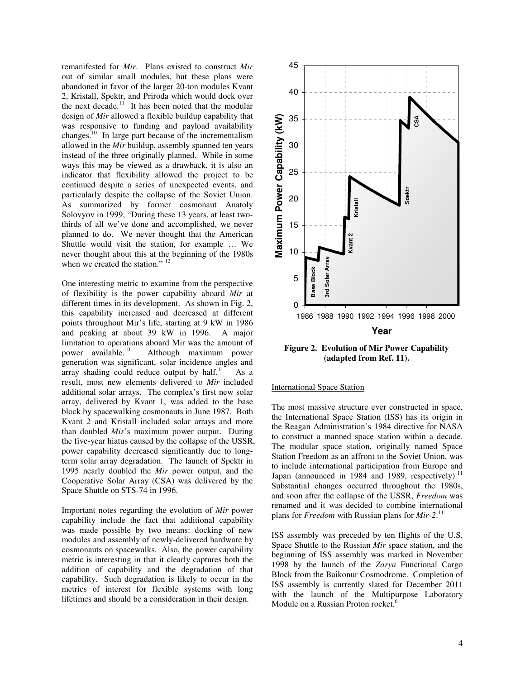remanifested for *Mir*. Plans existed to construct *Mir* out of similar small modules, but these plans were abandoned in favor of the larger 20-ton modules Kvant 2, Kristall, Spektr, and Priroda which would dock over the next decade.<sup>11</sup> It has been noted that the modular design of *Mir* allowed a flexible buildup capability that was responsive to funding and payload availability changes.<sup>10</sup> In large part because of the incrementalism allowed in the *Mir* buildup, assembly spanned ten years instead of the three originally planned. While in some ways this may be viewed as a drawback, it is also an indicator that flexibility allowed the project to be continued despite a series of unexpected events, and particularly despite the collapse of the Soviet Union. As summarized by former cosmonaut Anatoly Solovyov in 1999, "During these 13 years, at least twothirds of all we've done and accomplished, we never planned to do. We never thought that the American Shuttle would visit the station, for example … We never thought about this at the beginning of the 1980s when we created the station."  $12$ 

One interesting metric to examine from the perspective of flexibility is the power capability aboard *Mir* at different times in its development. As shown in Fig. 2, this capability increased and decreased at different points throughout Mir's life, starting at 9 kW in 1986 and peaking at about 39 kW in 1996. A major limitation to operations aboard Mir was the amount of power available.<sup>10</sup> Although maximum power generation was significant, solar incidence angles and array shading could reduce output by half. $^{11}$ As a result, most new elements delivered to *Mir* included additional solar arrays. The complex's first new solar array, delivered by Kvant 1, was added to the base block by spacewalking cosmonauts in June 1987. Both Kvant 2 and Kristall included solar arrays and more than doubled *Mir*'s maximum power output. During the five-year hiatus caused by the collapse of the USSR, power capability decreased significantly due to longterm solar array degradation. The launch of Spektr in 1995 nearly doubled the *Mir* power output, and the Cooperative Solar Array (CSA) was delivered by the Space Shuttle on STS-74 in 1996.

Important notes regarding the evolution of *Mir* power capability include the fact that additional capability was made possible by two means: docking of new modules and assembly of newly-delivered hardware by cosmonauts on spacewalks. Also, the power capability metric is interesting in that it clearly captures both the addition of capability and the degradation of that capability. Such degradation is likely to occur in the metrics of interest for flexible systems with long lifetimes and should be a consideration in their design.



**Figure 2. Evolution of Mir Power Capability (adapted from Ref. 11).**

### International Space Station

The most massive structure ever constructed in space, the International Space Station (ISS) has its origin in the Reagan Administration's 1984 directive for NASA to construct a manned space station within a decade. The modular space station, originally named Space Station Freedom as an affront to the Soviet Union, was to include international participation from Europe and Japan (announced in 1984 and 1989, respectively).<sup>11</sup> Substantial changes occurred throughout the 1980s, and soon after the collapse of the USSR, *Freedom* was renamed and it was decided to combine international plans for *Freedom* with Russian plans for *Mir-2*. 11

ISS assembly was preceded by ten flights of the U.S. Space Shuttle to the Russian *Mir* space station, and the beginning of ISS assembly was marked in November 1998 by the launch of the *Zarya* Functional Cargo Block from the Baikonur Cosmodrome. Completion of ISS assembly is currently slated for December 2011 with the launch of the Multipurpose Laboratory Module on a Russian Proton rocket.<sup>6</sup>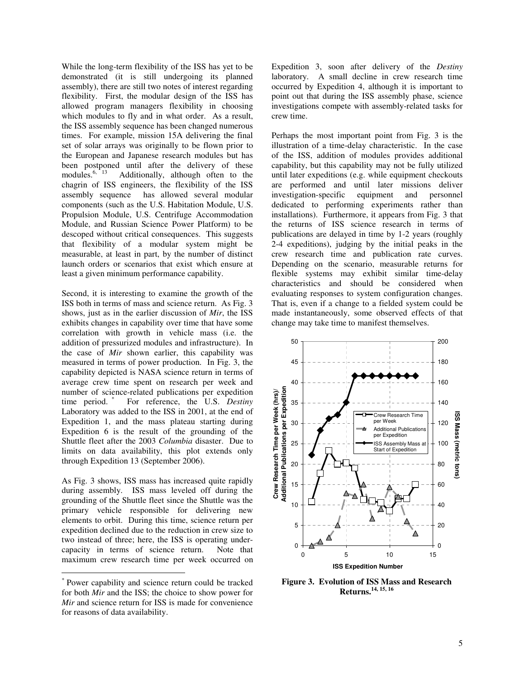While the long-term flexibility of the ISS has yet to be demonstrated (it is still undergoing its planned assembly), there are still two notes of interest regarding flexibility. First, the modular design of the ISS has allowed program managers flexibility in choosing which modules to fly and in what order. As a result, the ISS assembly sequence has been changed numerous times. For example, mission 15A delivering the final set of solar arrays was originally to be flown prior to the European and Japanese research modules but has been postponed until after the delivery of these modules.<sup>6, 13</sup> Additionally, although often to the chagrin of ISS engineers, the flexibility of the ISS assembly sequence has allowed several modular components (such as the U.S. Habitation Module, U.S. Propulsion Module, U.S. Centrifuge Accommodation Module, and Russian Science Power Platform) to be descoped without critical consequences. This suggests that flexibility of a modular system might be measurable, at least in part, by the number of distinct launch orders or scenarios that exist which ensure at least a given minimum performance capability.

Second, it is interesting to examine the growth of the ISS both in terms of mass and science return. As Fig. 3 shows, just as in the earlier discussion of *Mir*, the ISS exhibits changes in capability over time that have some correlation with growth in vehicle mass (i.e. the addition of pressurized modules and infrastructure). In the case of *Mir* shown earlier, this capability was measured in terms of power production. In Fig. 3, the capability depicted is NASA science return in terms of average crew time spent on research per week and number of science-related publications per expedition time period. \* For reference, the U.S. *Destiny* Laboratory was added to the ISS in 2001, at the end of Expedition 1, and the mass plateau starting during Expedition 6 is the result of the grounding of the Shuttle fleet after the 2003 *Columbia* disaster. Due to limits on data availability, this plot extends only through Expedition 13 (September 2006).

As Fig. 3 shows, ISS mass has increased quite rapidly during assembly. ISS mass leveled off during the grounding of the Shuttle fleet since the Shuttle was the primary vehicle responsible for delivering new elements to orbit. During this time, science return per expedition declined due to the reduction in crew size to two instead of three; here, the ISS is operating undercapacity in terms of science return. Note that maximum crew research time per week occurred on Expedition 3, soon after delivery of the *Destiny* laboratory. A small decline in crew research time occurred by Expedition 4, although it is important to point out that during the ISS assembly phase, science investigations compete with assembly-related tasks for crew time.

Perhaps the most important point from Fig. 3 is the illustration of a time-delay characteristic. In the case of the ISS, addition of modules provides additional capability, but this capability may not be fully utilized until later expeditions (e.g. while equipment checkouts are performed and until later missions deliver investigation-specific equipment and personnel dedicated to performing experiments rather than installations). Furthermore, it appears from Fig. 3 that the returns of ISS science research in terms of publications are delayed in time by 1-2 years (roughly 2-4 expeditions), judging by the initial peaks in the crew research time and publication rate curves. Depending on the scenario, measurable returns for flexible systems may exhibit similar time-delay characteristics and should be considered when evaluating responses to system configuration changes. That is, even if a change to a fielded system could be made instantaneously, some observed effects of that change may take time to manifest themselves.



**Figure 3. Evolution of ISS Mass and Research Returns. 14, 15, 16**

<sup>\*</sup> Power capability and science return could be tracked for both *Mir* and the ISS; the choice to show power for *Mir* and science return for ISS is made for convenience for reasons of data availability.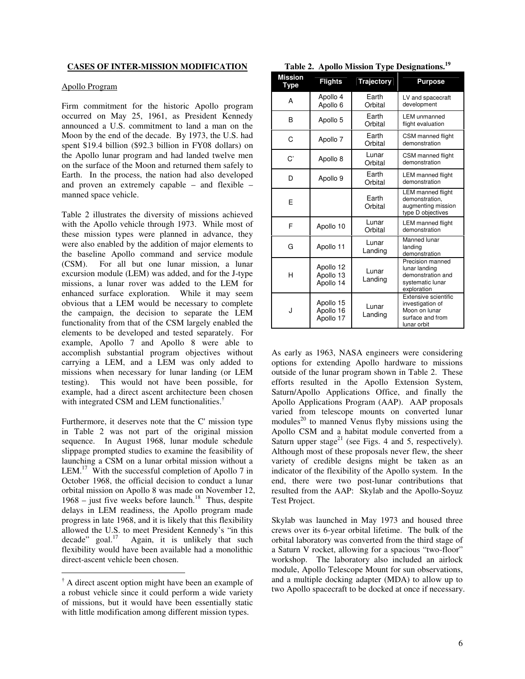# **CASES OF INTER-MISSION MODIFICATION**

#### Apollo Program

Firm commitment for the historic Apollo program occurred on May 25, 1961, as President Kennedy announced a U.S. commitment to land a man on the Moon by the end of the decade. By 1973, the U.S. had spent \$19.4 billion (\$92.3 billion in FY08 dollars) on the Apollo lunar program and had landed twelve men on the surface of the Moon and returned them safely to Earth. In the process, the nation had also developed and proven an extremely capable – and flexible – manned space vehicle.

Table 2 illustrates the diversity of missions achieved with the Apollo vehicle through 1973. While most of these mission types were planned in advance, they were also enabled by the addition of major elements to the baseline Apollo command and service module (CSM). For all but one lunar mission, a lunar excursion module (LEM) was added, and for the J-type missions, a lunar rover was added to the LEM for enhanced surface exploration. While it may seem obvious that a LEM would be necessary to complete the campaign, the decision to separate the LEM functionality from that of the CSM largely enabled the elements to be developed and tested separately. For example, Apollo 7 and Apollo 8 were able to accomplish substantial program objectives without carrying a LEM, and a LEM was only added to missions when necessary for lunar landing (or LEM testing). This would not have been possible, for example, had a direct ascent architecture been chosen with integrated CSM and LEM functionalities.<sup>†</sup>

Furthermore, it deserves note that the C'mission type in Table 2 was not part of the original mission sequence. In August 1968, lunar module schedule slippage prompted studies to examine the feasibility of launching a CSM on a lunar orbital mission without a LEM.<sup>17</sup> With the successful completion of Apollo 7 in October 1968, the official decision to conduct a lunar orbital mission on Apollo 8 was made on November 12, 1968 – just five weeks before launch. $18$  Thus, despite delays in LEM readiness, the Apollo program made progress in late 1968, and it is likely that this flexibility allowed the U.S. to meet President Kennedy's "in this decade" goal. $17$ Again, it is unlikely that such flexibility would have been available had a monolithic direct-ascent vehicle been chosen.

|  |  |  |  |  | Table 2. Apollo Mission Type Designations. <sup>19</sup> |  |
|--|--|--|--|--|----------------------------------------------------------|--|
|--|--|--|--|--|----------------------------------------------------------|--|

| <b>Mission</b><br>Type | <b>Flights</b>                      | <b>Trajectory</b> | <b>Purpose</b>                                                                               |  |
|------------------------|-------------------------------------|-------------------|----------------------------------------------------------------------------------------------|--|
| A                      | Apollo 4<br>Apollo <sub>6</sub>     | Earth<br>Orbital  | LV and spacecraft<br>development                                                             |  |
| в                      | Apollo 5                            | Earth<br>Orbital  | <b>LEM</b> unmanned<br>flight evaluation                                                     |  |
| C                      | Apollo 7                            | Earth<br>Orbital  | CSM manned flight<br>demonstration                                                           |  |
| C'                     | Apollo 8                            | Lunar<br>Orbital  | CSM manned flight<br>demonstration                                                           |  |
| D                      | Apollo 9                            | Earth<br>Orbital  | <b>LEM</b> manned flight<br>demonstration                                                    |  |
| E                      |                                     | Earth<br>Orbital  | <b>LEM</b> manned flight<br>demonstration.<br>augmenting mission<br>type D objectives        |  |
| F                      | Apollo 10                           | Lunar<br>Orbital  | <b>LEM</b> manned flight<br>demonstration                                                    |  |
| G                      | Apollo 11                           | Lunar<br>Landing  | Manned lunar<br>landing<br>demonstration                                                     |  |
| н                      | Apollo 12<br>Apollo 13<br>Apollo 14 | Lunar<br>Landing  | Precision manned<br>lunar landing<br>demonstration and<br>systematic lunar<br>exploration    |  |
| J                      | Apollo 15<br>Apollo 16<br>Apollo 17 | Lunar<br>Landing  | Extensive scientific<br>investigation of<br>Moon on lunar<br>surface and from<br>lunar orbit |  |

As early as 1963, NASA engineers were considering options for extending Apollo hardware to missions outside of the lunar program shown in Table 2. These efforts resulted in the Apollo Extension System, Saturn/Apollo Applications Office, and finally the Apollo Applications Program (AAP). AAP proposals varied from telescope mounts on converted lunar modules<sup>20</sup> to manned Venus flyby missions using the Apollo CSM and a habitat module converted from a Saturn upper stage<sup>21</sup> (see Figs. 4 and 5, respectively). Although most of these proposals never flew, the sheer variety of credible designs might be taken as an indicator of the flexibility of the Apollo system. In the end, there were two post-lunar contributions that resulted from the AAP: Skylab and the Apollo-Soyuz Test Project.

Skylab was launched in May 1973 and housed three crews over its 6-year orbital lifetime. The bulk of the orbital laboratory was converted from the third stage of a Saturn V rocket, allowing for a spacious "two-floor" workshop. The laboratory also included an airlock module, Apollo Telescope Mount for sun observations, and a multiple docking adapter (MDA) to allow up to two Apollo spacecraft to be docked at once if necessary.

 $\dagger$  A direct ascent option might have been an example of a robust vehicle since it could perform a wide variety of missions, but it would have been essentially static with little modification among different mission types.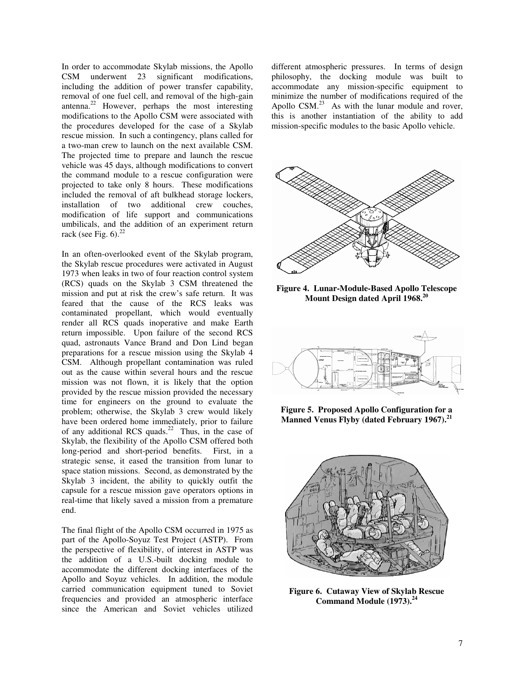In order to accommodate Skylab missions, the Apollo CSM underwent 23 significant modifications, including the addition of power transfer capability, removal of one fuel cell, and removal of the high-gain antenna.<sup>22</sup> However, perhaps the most interesting modifications to the Apollo CSM were associated with the procedures developed for the case of a Skylab rescue mission. In such a contingency, plans called for a two-man crew to launch on the next available CSM. The projected time to prepare and launch the rescue vehicle was 45 days, although modifications to convert the command module to a rescue configuration were projected to take only 8 hours. These modifications included the removal of aft bulkhead storage lockers, installation of two additional crew couches, modification of life support and communications umbilicals, and the addition of an experiment return rack (see Fig.  $6$ ).<sup>22</sup>

In an often-overlooked event of the Skylab program, the Skylab rescue procedures were activated in August 1973 when leaks in two of four reaction control system (RCS) quads on the Skylab 3 CSM threatened the mission and put at risk the crew's safe return. It was feared that the cause of the RCS leaks was contaminated propellant, which would eventually render all RCS quads inoperative and make Earth return impossible. Upon failure of the second RCS quad, astronauts Vance Brand and Don Lind began preparations for a rescue mission using the Skylab 4 CSM. Although propellant contamination was ruled out as the cause within several hours and the rescue mission was not flown, it is likely that the option provided by the rescue mission provided the necessary time for engineers on the ground to evaluate the problem; otherwise, the Skylab 3 crew would likely have been ordered home immediately, prior to failure of any additional RCS quads.<sup>22</sup> Thus, in the case of Skylab, the flexibility of the Apollo CSM offered both long-period and short-period benefits. First, in a strategic sense, it eased the transition from lunar to space station missions. Second, as demonstrated by the Skylab 3 incident, the ability to quickly outfit the capsule for a rescue mission gave operators options in real-time that likely saved a mission from a premature end.

The final flight of the Apollo CSM occurred in 1975 as part of the Apollo-Soyuz Test Project (ASTP). From the perspective of flexibility, of interest in ASTP was the addition of a U.S.-built docking module to accommodate the different docking interfaces of the Apollo and Soyuz vehicles. In addition, the module carried communication equipment tuned to Soviet frequencies and provided an atmospheric interface since the American and Soviet vehicles utilized different atmospheric pressures. In terms of design philosophy, the docking module was built to accommodate any mission-specific equipment to minimize the number of modifications required of the Apollo  $CSM<sup>23</sup>$  As with the lunar module and rover, this is another instantiation of the ability to add mission-specific modules to the basic Apollo vehicle.



**Figure 4. Lunar-Module-Based Apollo Telescope Mount Design dated April 1968. 20**



**Figure 5. Proposed Apollo Configuration for a Manned Venus Flyby (dated February 1967). 21**



**Figure 6. Cutaway View of Skylab Rescue Command Module (1973). 24**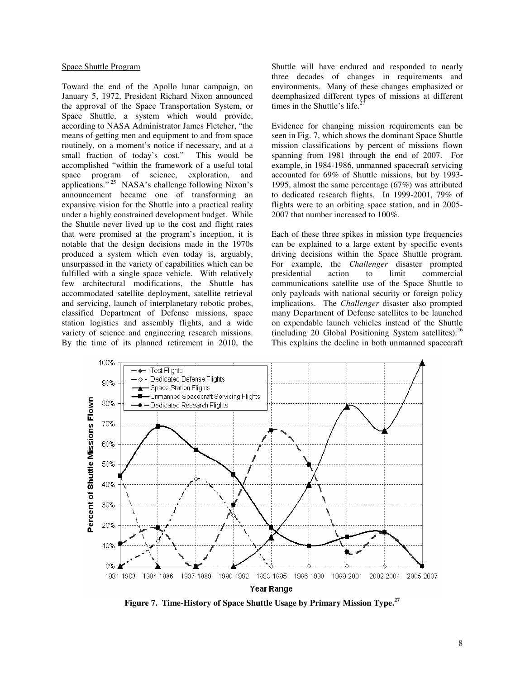### Space Shuttle Program

Toward the end of the Apollo lunar campaign, on January 5, 1972, President Richard Nixon announced the approval of the Space Transportation System, or Space Shuttle, a system which would provide, according to NASA Administrator James Fletcher, "the means of getting men and equipment to and from space routinely, on a moment's notice if necessary, and at a small fraction of today's cost." This would be accomplished "within the framework of a useful total space program of science, exploration, and applications."<sup>25</sup> NASA's challenge following Nixon's announcement became one of transforming an expansive vision for the Shuttle into a practical reality under a highly constrained development budget. While the Shuttle never lived up to the cost and flight rates that were promised at the program's inception, it is notable that the design decisions made in the 1970s produced a system which even today is, arguably, unsurpassed in the variety of capabilities which can be fulfilled with a single space vehicle. With relatively few architectural modifications, the Shuttle has accommodated satellite deployment, satellite retrieval and servicing, launch of interplanetary robotic probes, classified Department of Defense missions, space station logistics and assembly flights, and a wide variety of science and engineering research missions. By the time of its planned retirement in 2010, the

Shuttle will have endured and responded to nearly three decades of changes in requirements and environments. Many of these changes emphasized or deemphasized different types of missions at different times in the Shuttle's life. 27

Evidence for changing mission requirements can be seen in Fig. 7, which shows the dominant Space Shuttle mission classifications by percent of missions flown spanning from 1981 through the end of 2007. For example, in 1984-1986, unmanned spacecraft servicing accounted for 69% of Shuttle missions, but by 1993- 1995, almost the same percentage (67%) was attributed to dedicated research flights. In 1999-2001, 79% of flights were to an orbiting space station, and in 2005- 2007 that number increased to 100%.

Each of these three spikes in mission type frequencies can be explained to a large extent by specific events driving decisions within the Space Shuttle program. For example, the *Challenger* disaster prompted presidential action to limit commercial communications satellite use of the Space Shuttle to only payloads with national security or foreign policy implications. The *Challenger* disaster also prompted many Department of Defense satellites to be launched on expendable launch vehicles instead of the Shuttle (including 20 Global Positioning System satellites). 26 This explains the decline in both unmanned spacecraft



**Figure 7. Time-History of Space Shuttle Usage by Primary Mission Type. 27**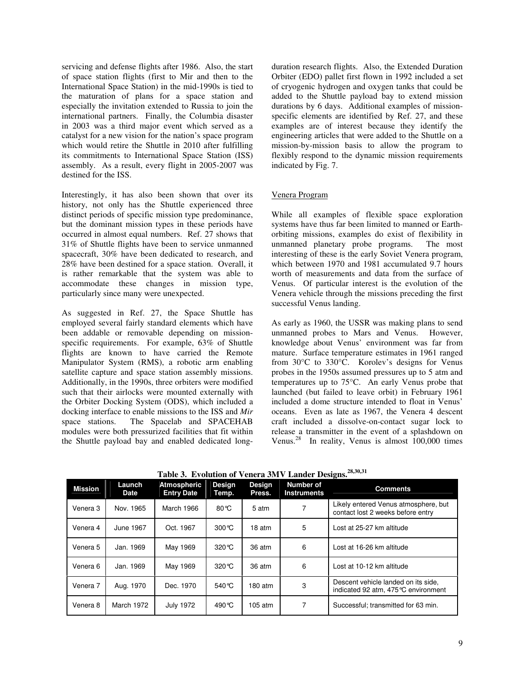servicing and defense flights after 1986. Also, the start of space station flights (first to Mir and then to the International Space Station) in the mid-1990s is tied to the maturation of plans for a space station and especially the invitation extended to Russia to join the international partners. Finally, the Columbia disaster in 2003 was a third major event which served as a catalyst for a new vision for the nation's space program which would retire the Shuttle in 2010 after fulfilling its commitments to International Space Station (ISS) assembly. As a result, every flight in 2005-2007 was destined for the ISS.

Interestingly, it has also been shown that over its history, not only has the Shuttle experienced three distinct periods of specific mission type predominance, but the dominant mission types in these periods have occurred in almost equal numbers. Ref. 27 shows that 31% of Shuttle flights have been to service unmanned spacecraft, 30% have been dedicated to research, and 28% have been destined for a space station. Overall, it is rather remarkable that the system was able to accommodate these changes in mission type, particularly since many were unexpected.

As suggested in Ref. 27, the Space Shuttle has employed several fairly standard elements which have been addable or removable depending on missionspecific requirements. For example, 63% of Shuttle flights are known to have carried the Remote Manipulator System (RMS), a robotic arm enabling satellite capture and space station assembly missions. Additionally, in the 1990s, three orbiters were modified such that their airlocks were mounted externally with the Orbiter Docking System (ODS), which included a docking interface to enable missions to the ISS and *Mir* space stations. The Spacelab and SPACEHAB modules were both pressurized facilities that fit within the Shuttle payload bay and enabled dedicated longduration research flights. Also, the Extended Duration Orbiter (EDO) pallet first flown in 1992 included a set of cryogenic hydrogen and oxygen tanks that could be added to the Shuttle payload bay to extend mission durations by 6 days. Additional examples of missionspecific elements are identified by Ref. 27, and these examples are of interest because they identify the engineering articles that were added to the Shuttle on a mission-by-mission basis to allow the program to flexibly respond to the dynamic mission requirements indicated by Fig. 7.

### Venera Program

While all examples of flexible space exploration systems have thus far been limited to manned or Earthorbiting missions, examples do exist of flexibility in unmanned planetary probe programs. The most interesting of these is the early Soviet Venera program, which between 1970 and 1981 accumulated 9.7 hours worth of measurements and data from the surface of Venus. Of particular interest is the evolution of the Venera vehicle through the missions preceding the first successful Venus landing.

As early as 1960, the USSR was making plans to send unmanned probes to Mars and Venus. However, knowledge about Venus' environment was far from mature. Surface temperature estimates in 1961 ranged from 30°C to 330°C. Korolev's designs for Venus probes in the 1950s assumed pressures up to 5 atm and temperatures up to 75°C. An early Venus probe that launched (but failed to leave orbit) in February 1961 included a dome structure intended to float in Venus' oceans. Even as late as 1967, the Venera 4 descent craft included a dissolve-on-contact sugar lock to release a transmitter in the event of a splashdown on Venus.<sup>28</sup> In reality, Venus is almost  $100,000$  times

| <b>Mission</b> | Launch<br><b>Date</b> | <b>Atmospheric</b><br><b>Entry Date</b> | <b>Design</b><br>Temp. | <b>Design</b><br>Press. | <b>Number of</b><br><b>Instruments</b> | <b>Comments</b>                                                           |
|----------------|-----------------------|-----------------------------------------|------------------------|-------------------------|----------------------------------------|---------------------------------------------------------------------------|
| Venera 3       | Nov. 1965             | March 1966                              | $80^{\circ}$ C         | 5 atm                   |                                        | Likely entered Venus atmosphere, but<br>contact lost 2 weeks before entry |
| Venera 4       | June 1967             | Oct. 1967                               | $300^{\circ}$ C        | 18 atm                  | 5                                      | Lost at 25-27 km altitude                                                 |
| Venera 5       | Jan. 1969             | May 1969                                | $320^{\circ}$ C        | 36 atm                  | 6                                      | Lost at 16-26 km altitude                                                 |
| Venera 6       | Jan. 1969             | May 1969                                | $320^{\circ}$ C        | 36 atm                  | 6                                      | Lost at 10-12 km altitude                                                 |
| Venera 7       | Aug. 1970             | Dec. 1970                               | $540^{\circ}$ C        | 180 atm                 | 3                                      | Descent vehicle landed on its side,<br>indicated 92 atm, 475℃ environment |
| Venera 8       | March 1972            | <b>July 1972</b>                        | 490 °C                 | $105$ atm               | 7                                      | Successful; transmitted for 63 min.                                       |

**Table 3. Evolution of Venera 3MV Lander Designs. 28,30,31**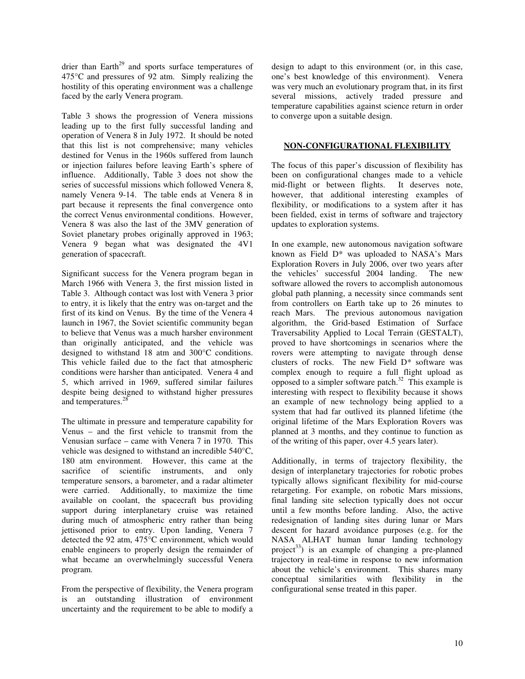drier than Earth<sup>29</sup> and sports surface temperatures of 475°C and pressures of 92 atm. Simply realizing the hostility of this operating environment was a challenge faced by the early Venera program.

Table 3 shows the progression of Venera missions leading up to the first fully successful landing and operation of Venera 8 in July 1972. It should be noted that this list is not comprehensive; many vehicles destined for Venus in the 1960s suffered from launch or injection failures before leaving Earth's sphere of influence. Additionally, Table 3 does not show the series of successful missions which followed Venera 8, namely Venera 9-14. The table ends at Venera 8 in part because it represents the final convergence onto the correct Venus environmental conditions. However, Venera 8 was also the last of the 3MV generation of Soviet planetary probes originally approved in 1963; Venera 9 began what was designated the 4V1 generation of spacecraft.

Significant success for the Venera program began in March 1966 with Venera 3, the first mission listed in Table 3. Although contact was lost with Venera 3 prior to entry, it is likely that the entry was on-target and the first of its kind on Venus. By the time of the Venera 4 launch in 1967, the Soviet scientific community began to believe that Venus was a much harsher environment than originally anticipated, and the vehicle was designed to withstand 18 atm and 300°C conditions. This vehicle failed due to the fact that atmospheric conditions were harsher than anticipated. Venera 4 and 5, which arrived in 1969, suffered similar failures despite being designed to withstand higher pressures and temperatures.<sup>28</sup>

The ultimate in pressure and temperature capability for Venus – and the first vehicle to transmit from the Venusian surface – came with Venera 7 in 1970. This vehicle was designed to withstand an incredible 540°C, 180 atm environment. However, this came at the sacrifice of scientific instruments, and only temperature sensors, a barometer, and a radar altimeter were carried. Additionally, to maximize the time available on coolant, the spacecraft bus providing support during interplanetary cruise was retained during much of atmospheric entry rather than being jettisoned prior to entry. Upon landing, Venera 7 detected the 92 atm, 475°C environment, which would enable engineers to properly design the remainder of what became an overwhelmingly successful Venera program.

From the perspective of flexibility, the Venera program is an outstanding illustration of environment uncertainty and the requirement to be able to modify a design to adapt to this environment (or, in this case, one's best knowledge of this environment). Venera was very much an evolutionary program that, in its first several missions, actively traded pressure and temperature capabilities against science return in order to converge upon a suitable design.

# **NON-CONFIGURATIONAL FLEXIBILITY**

The focus of this paper's discussion of flexibility has been on configurational changes made to a vehicle mid-flight or between flights. It deserves note, however, that additional interesting examples of flexibility, or modifications to a system after it has been fielded, exist in terms of software and trajectory updates to exploration systems.

In one example, new autonomous navigation software known as Field D\* was uploaded to NASA's Mars Exploration Rovers in July 2006, over two years after the vehicles' successful 2004 landing. The new software allowed the rovers to accomplish autonomous global path planning, a necessity since commands sent from controllers on Earth take up to 26 minutes to reach Mars. The previous autonomous navigation algorithm, the Grid-based Estimation of Surface Traversability Applied to Local Terrain (GESTALT), proved to have shortcomings in scenarios where the rovers were attempting to navigate through dense clusters of rocks. The new Field D\* software was complex enough to require a full flight upload as opposed to a simpler software patch. <sup>32</sup> This example is interesting with respect to flexibility because it shows an example of new technology being applied to a system that had far outlived its planned lifetime (the original lifetime of the Mars Exploration Rovers was planned at 3 months, and they continue to function as of the writing of this paper, over 4.5 years later).

Additionally, in terms of trajectory flexibility, the design of interplanetary trajectories for robotic probes typically allows significant flexibility for mid-course retargeting. For example, on robotic Mars missions, final landing site selection typically does not occur until a few months before landing. Also, the active redesignation of landing sites during lunar or Mars descent for hazard avoidance purposes (e.g. for the NASA ALHAT human lunar landing technology project<sup>33</sup>) is an example of changing a pre-planned trajectory in real-time in response to new information about the vehicle's environment. This shares many conceptual similarities with flexibility in the configurational sense treated in this paper.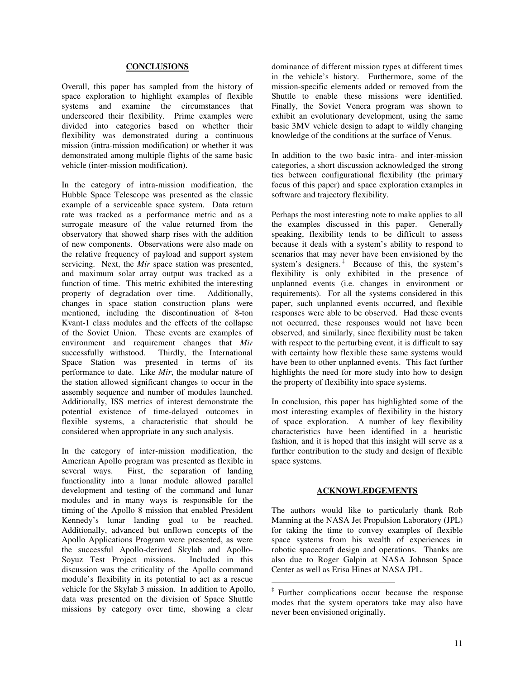# **CONCLUSIONS**

Overall, this paper has sampled from the history of space exploration to highlight examples of flexible systems and examine the circumstances that underscored their flexibility. Prime examples were divided into categories based on whether their flexibility was demonstrated during a continuous mission (intra-mission modification) or whether it was demonstrated among multiple flights of the same basic vehicle (inter-mission modification).

In the category of intra-mission modification, the Hubble Space Telescope was presented as the classic example of a serviceable space system. Data return rate was tracked as a performance metric and as a surrogate measure of the value returned from the observatory that showed sharp rises with the addition of new components. Observations were also made on the relative frequency of payload and support system servicing. Next, the *Mir* space station was presented, and maximum solar array output was tracked as a function of time. This metric exhibited the interesting property of degradation over time. Additionally, changes in space station construction plans were mentioned, including the discontinuation of 8-ton Kvant-1 class modules and the effects of the collapse of the Soviet Union. These events are examples of environment and requirement changes that *Mir* successfully withstood. Thirdly, the International Space Station was presented in terms of its performance to date. Like *Mir*, the modular nature of the station allowed significant changes to occur in the assembly sequence and number of modules launched. Additionally, ISS metrics of interest demonstrate the potential existence of time-delayed outcomes in flexible systems, a characteristic that should be considered when appropriate in any such analysis.

In the category of inter-mission modification, the American Apollo program was presented as flexible in several ways. First, the separation of landing functionality into a lunar module allowed parallel development and testing of the command and lunar modules and in many ways is responsible for the timing of the Apollo 8 mission that enabled President Kennedy's lunar landing goal to be reached. Additionally, advanced but unflown concepts of the Apollo Applications Program were presented, as were the successful Apollo-derived Skylab and Apollo-Soyuz Test Project missions. Included in this discussion was the criticality of the Apollo command module's flexibility in its potential to act as a rescue vehicle for the Skylab 3 mission. In addition to Apollo, data was presented on the division of Space Shuttle missions by category over time, showing a clear

dominance of different mission types at different times in the vehicle's history. Furthermore, some of the mission-specific elements added or removed from the Shuttle to enable these missions were identified. Finally, the Soviet Venera program was shown to exhibit an evolutionary development, using the same basic 3MV vehicle design to adapt to wildly changing knowledge of the conditions at the surface of Venus.

In addition to the two basic intra- and inter-mission categories, a short discussion acknowledged the strong ties between configurational flexibility (the primary focus of this paper) and space exploration examples in software and trajectory flexibility.

Perhaps the most interesting note to make applies to all the examples discussed in this paper. Generally speaking, flexibility tends to be difficult to assess because it deals with a system's ability to respond to scenarios that may never have been envisioned by the system's designers. ‡ Because of this, the system's flexibility is only exhibited in the presence of unplanned events (i.e. changes in environment or requirements). For all the systems considered in this paper, such unplanned events occurred, and flexible responses were able to be observed. Had these events not occurred, these responses would not have been observed, and similarly, since flexibility must be taken with respect to the perturbing event, it is difficult to say with certainty how flexible these same systems would have been to other unplanned events. This fact further highlights the need for more study into how to design the property of flexibility into space systems.

In conclusion, this paper has highlighted some of the most interesting examples of flexibility in the history of space exploration. A number of key flexibility characteristics have been identified in a heuristic fashion, and it is hoped that this insight will serve as a further contribution to the study and design of flexible space systems.

# **ACKNOWLEDGEMENTS**

The authors would like to particularly thank Rob Manning at the NASA Jet Propulsion Laboratory (JPL) for taking the time to convey examples of flexible space systems from his wealth of experiences in robotic spacecraft design and operations. Thanks are also due to Roger Galpin at NASA Johnson Space Center as well as Erisa Hines at NASA JPL.

<sup>‡</sup> Further complications occur because the response modes that the system operators take may also have never been envisioned originally.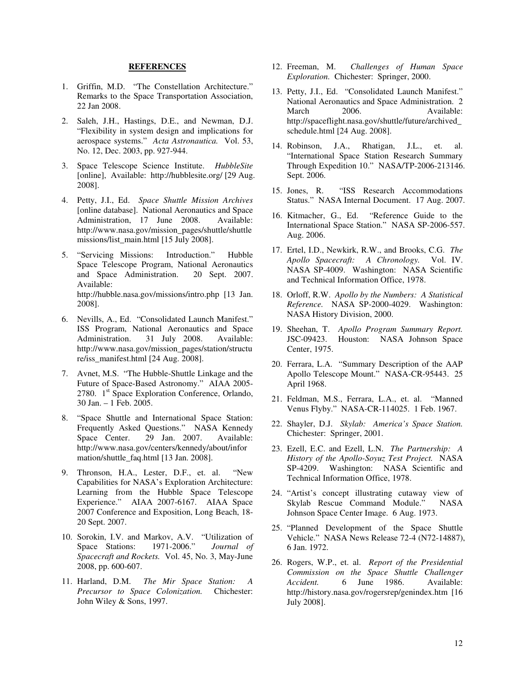# **REFERENCES**

- 1. Griffin, M.D. "The Constellation Architecture." Remarks to the Space Transportation Association, 22 Jan 2008.
- 2. Saleh, J.H., Hastings, D.E., and Newman, D.J. "Flexibility in system design and implications for aerospace systems." *Acta Astronautica.* Vol. 53, No. 12, Dec. 2003, pp. 927-944.
- 3. Space Telescope Science Institute. *HubbleSite* [online], Available: http://hubblesite.org/ [29 Aug. 2008].
- 4. Petty, J.I., Ed. *Space Shuttle Mission Archives* [online database]. National Aeronautics and Space Administration, 17 June 2008. Available: http://www.nasa.gov/mission\_pages/shuttle/shuttle missions/list\_main.html [15 July 2008].
- 5. "Servicing Missions: Introduction." Hubble Space Telescope Program, National Aeronautics<br>and Space Administration. 20 Sept. 2007. and Space Administration. Available: http://hubble.nasa.gov/missions/intro.php [13 Jan. 2008].
- 6. Nevills, A., Ed. "Consolidated Launch Manifest." ISS Program, National Aeronautics and Space<br>Administration. 31 July 2008. Available: 31 July 2008. http://www.nasa.gov/mission\_pages/station/structu re/iss\_manifest.html [24 Aug. 2008].
- 7. Avnet, M.S. "The Hubble-Shuttle Linkage and the Future of Space-Based Astronomy." AIAA 2005- 2780. 1<sup>st</sup> Space Exploration Conference, Orlando, 30 Jan. – 1 Feb. 2005.
- 8. "Space Shuttle and International Space Station: Frequently Asked Questions." NASA Kennedy<br>Space Center. 29 Jan. 2007. Available: 29 Jan. 2007. http://www.nasa.gov/centers/kennedy/about/infor mation/shuttle\_faq.html [13 Jan. 2008].
- 9. Thronson, H.A., Lester, D.F., et. al. "New Capabilities for NASA's Exploration Architecture: Learning from the Hubble Space Telescope Experience." AIAA 2007-6167. AIAA Space 2007 Conference and Exposition, Long Beach, 18- 20 Sept. 2007.
- 10. Sorokin, I.V. and Markov, A.V. "Utilization of Space Stations: 1971-2006." *Journal of Spacecraft and Rockets.* Vol. 45, No. 3, May-June 2008, pp. 600-607.
- 11. Harland, D.M. *The Mir Space Station: A Precursor to Space Colonization.* Chichester: John Wiley & Sons, 1997.
- 12. Freeman, M. *Challenges of Human Space Exploration.* Chichester: Springer, 2000.
- 13. Petty, J.I., Ed. "Consolidated Launch Manifest." National Aeronautics and Space Administration. 2 March 2006. Available: http://spaceflight.nasa.gov/shuttle/future/archived\_ schedule.html [24 Aug. 2008].
- 14. Robinson, J.A., Rhatigan, J.L., et. al. "International Space Station Research Summary Through Expedition 10." NASA/TP-2006-213146. Sept. 2006.
- 15. Jones, R. "ISS Research Accommodations Status." NASA Internal Document. 17 Aug. 2007.
- 16. Kitmacher, G., Ed. "Reference Guide to the International Space Station." NASA SP-2006-557. Aug. 2006.
- 17. Ertel, I.D., Newkirk, R.W., and Brooks, C.G. *The Apollo Spacecraft: A Chronology.* Vol. IV. NASA SP-4009. Washington: NASA Scientific and Technical Information Office, 1978.
- 18. Orloff, R.W. *Apollo by the Numbers: A Statistical Reference.* NASA SP-2000-4029. Washington: NASA History Division, 2000.
- 19. Sheehan, T. *Apollo Program Summary Report.* JSC-09423. Houston: NASA Johnson Space Center, 1975.
- 20. Ferrara, L.A. "Summary Description of the AAP Apollo Telescope Mount." NASA-CR-95443. 25 April 1968.
- 21. Feldman, M.S., Ferrara, L.A., et. al. "Manned Venus Flyby." NASA-CR-114025. 1 Feb. 1967.
- 22. Shayler, D.J. *Skylab: America's Space Station.* Chichester: Springer, 2001.
- 23. Ezell, E.C. and Ezell, L.N. *The Partnership: A History of the Apollo-Soyuz Test Project.* NASA SP-4209. Washington: NASA Scientific and Technical Information Office, 1978.
- 24. "Artist's concept illustrating cutaway view of Skylab Rescue Command Module." NASA Johnson Space Center Image. 6 Aug. 1973.
- 25. "Planned Development of the Space Shuttle Vehicle." NASA News Release 72-4 (N72-14887), 6 Jan. 1972.
- 26. Rogers, W.P., et. al. *Report of the Presidential Commission on the Space Shuttle Challenger Accident.* 6 June 1986. Available: http://history.nasa.gov/rogersrep/genindex.htm [16 July 2008].